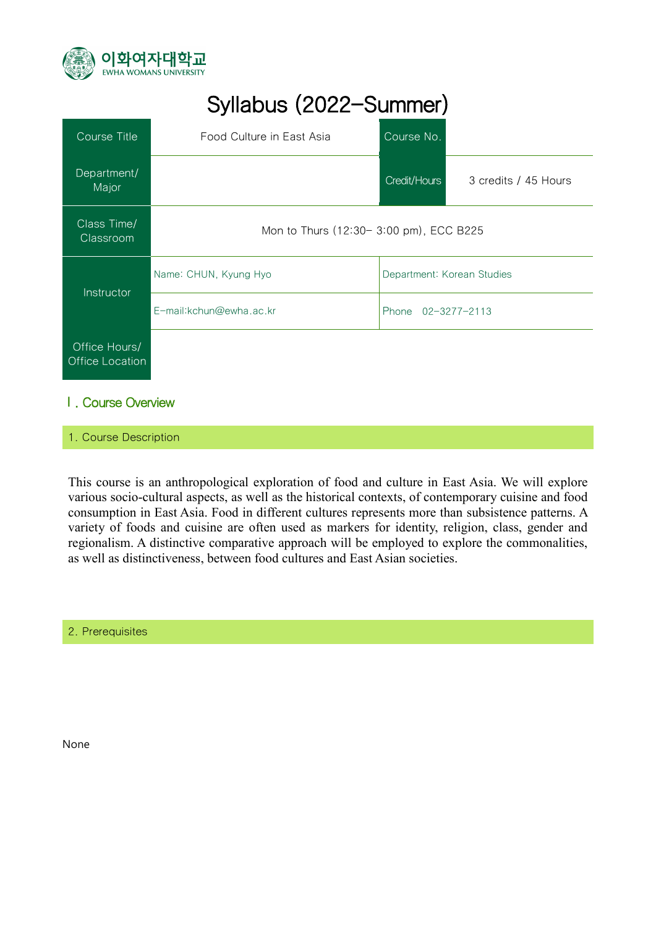

# Syllabus (2022-Summer)

| Course Title                     | Food Culture in East Asia              | Course No.                 |                      |
|----------------------------------|----------------------------------------|----------------------------|----------------------|
| Department/<br>Major             |                                        | Credit/Hours               | 3 credits / 45 Hours |
| Class Time/<br>Classroom         | Mon to Thurs (12:30-3:00 pm), ECC B225 |                            |                      |
| <b>Instructor</b>                | Name: CHUN, Kyung Hyo                  | Department: Korean Studies |                      |
|                                  | E-mail:kchun@ewha.ac.kr                | Phone 02-3277-2113         |                      |
| Office Hours/<br>Office Location |                                        |                            |                      |

#### Ⅰ. Course Overview

#### 1. Course Description

This course is an anthropological exploration of food and culture in East Asia. We will explore various socio-cultural aspects, as well as the historical contexts, of contemporary cuisine and food consumption in East Asia. Food in different cultures represents more than subsistence patterns. A variety of foods and cuisine are often used as markers for identity, religion, class, gender and regionalism. A distinctive comparative approach will be employed to explore the commonalities, as well as distinctiveness, between food cultures and East Asian societies.

2. Prerequisites

None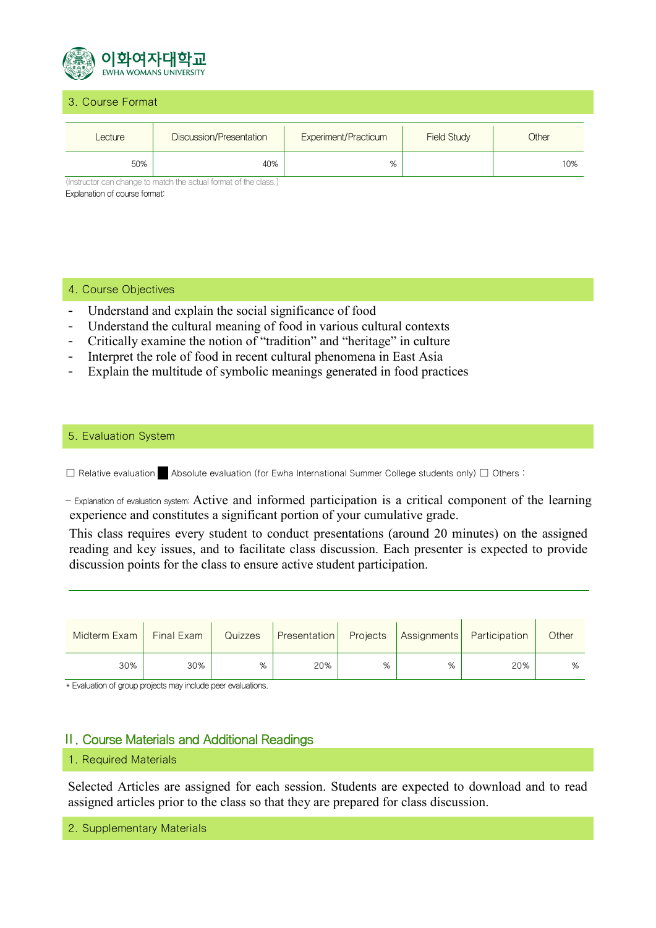

#### 3. Course Format

| Lecture | Discussion/Presentation | <b>Experiment/Practicum</b> | <b>Field Study</b> | Other |
|---------|-------------------------|-----------------------------|--------------------|-------|
| 50%     | 40%                     | %                           |                    | 10%   |

(Instructor can change to match the actual format of the class.) Explanation of course format:

#### 4. Course Objectives

- Understand and explain the social significance of food
- Understand the cultural meaning of food in various cultural contexts
- Critically examine the notion of "tradition" and "heritage" in culture
- Interpret the role of food in recent cultural phenomena in East Asia
- Explain the multitude of symbolic meanings generated in food practices

#### 5. Evaluation System

☐ Relative evaluation ☐ Absolute evaluation (for Ewha International Summer College students only) ☐ Others :

- Explanation of evaluation system: Active and informed participation is a critical component of the learning experience and constitutes a significant portion of your cumulative grade.

This class requires every student to conduct presentations (around 20 minutes) on the assigned reading and key issues, and to facilitate class discussion. Each presenter is expected to provide discussion points for the class to ensure active student participation.

| Midterm Exam | Final Exam | Quizzes | <b>Presentation</b> |   |   | <b>Projects Assignments Participation</b> | Other |
|--------------|------------|---------|---------------------|---|---|-------------------------------------------|-------|
| 30%          | 30%        | %       | 20%                 | % | % | 20%                                       | %     |

\* Evaluation of group projects may include peer evaluations.

#### Ⅱ. Course Materials and Additional Readings

#### 1. Required Materials

Selected Articles are assigned for each session. Students are expected to download and to read assigned articles prior to the class so that they are prepared for class discussion.

2. Supplementary Materials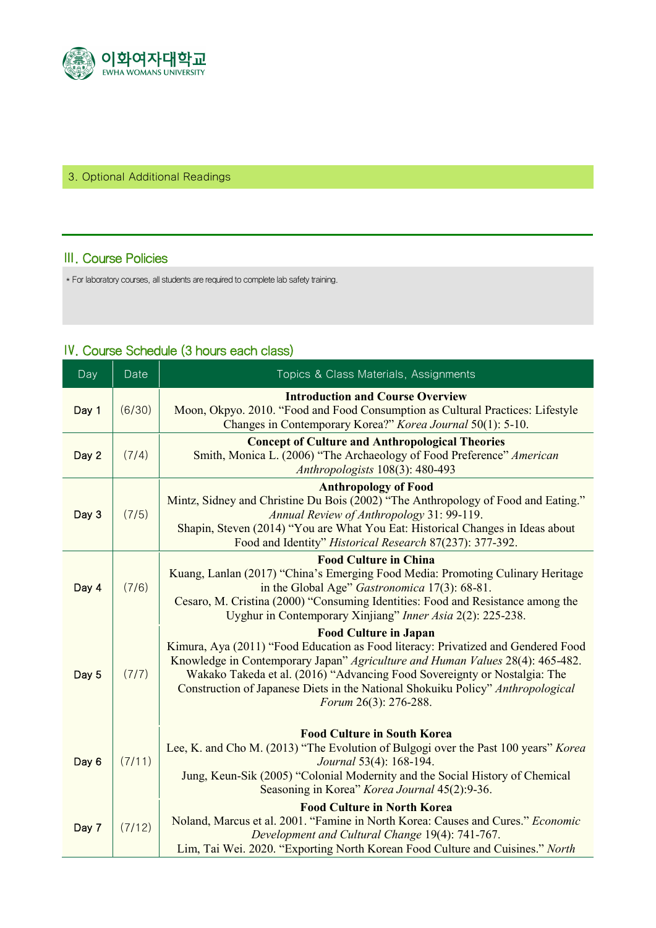

#### 3. Optional Additional Readings

#### Ⅲ. Course Policies

\* For laboratory courses, all students are required to complete lab safety training.

### Ⅳ. Course Schedule (3 hours each class)

| Day   | Date   | Topics & Class Materials, Assignments                                                                                                                                                                                                                                                                                                                                                       |
|-------|--------|---------------------------------------------------------------------------------------------------------------------------------------------------------------------------------------------------------------------------------------------------------------------------------------------------------------------------------------------------------------------------------------------|
| Day 1 | (6/30) | <b>Introduction and Course Overview</b><br>Moon, Okpyo. 2010. "Food and Food Consumption as Cultural Practices: Lifestyle<br>Changes in Contemporary Korea?" Korea Journal 50(1): 5-10.                                                                                                                                                                                                     |
| Day 2 | (7/4)  | <b>Concept of Culture and Anthropological Theories</b><br>Smith, Monica L. (2006) "The Archaeology of Food Preference" American<br>Anthropologists 108(3): 480-493                                                                                                                                                                                                                          |
| Day 3 | (7/5)  | <b>Anthropology of Food</b><br>Mintz, Sidney and Christine Du Bois (2002) "The Anthropology of Food and Eating."<br>Annual Review of Anthropology 31: 99-119.<br>Shapin, Steven (2014) "You are What You Eat: Historical Changes in Ideas about<br>Food and Identity" Historical Research 87(237): 377-392.                                                                                 |
| Day 4 | (7/6)  | <b>Food Culture in China</b><br>Kuang, Lanlan (2017) "China's Emerging Food Media: Promoting Culinary Heritage<br>in the Global Age" Gastronomica 17(3): 68-81.<br>Cesaro, M. Cristina (2000) "Consuming Identities: Food and Resistance among the<br>Uyghur in Contemporary Xinjiang" Inner Asia 2(2): 225-238.                                                                            |
| Day 5 | (7/7)  | <b>Food Culture in Japan</b><br>Kimura, Aya (2011) "Food Education as Food literacy: Privatized and Gendered Food<br>Knowledge in Contemporary Japan" Agriculture and Human Values 28(4): 465-482.<br>Wakako Takeda et al. (2016) "Advancing Food Sovereignty or Nostalgia: The<br>Construction of Japanese Diets in the National Shokuiku Policy" Anthropological<br>Forum 26(3): 276-288. |
| Day 6 | (7/11) | <b>Food Culture in South Korea</b><br>Lee, K. and Cho M. (2013) "The Evolution of Bulgogi over the Past 100 years" Korea<br>Journal 53(4): 168-194.<br>Jung, Keun-Sik (2005) "Colonial Modernity and the Social History of Chemical<br>Seasoning in Korea" Korea Journal 45(2):9-36.                                                                                                        |
| Day 7 | (7/12) | <b>Food Culture in North Korea</b><br>Noland, Marcus et al. 2001. "Famine in North Korea: Causes and Cures." Economic<br>Development and Cultural Change 19(4): 741-767.<br>Lim, Tai Wei. 2020. "Exporting North Korean Food Culture and Cuisines." North                                                                                                                                   |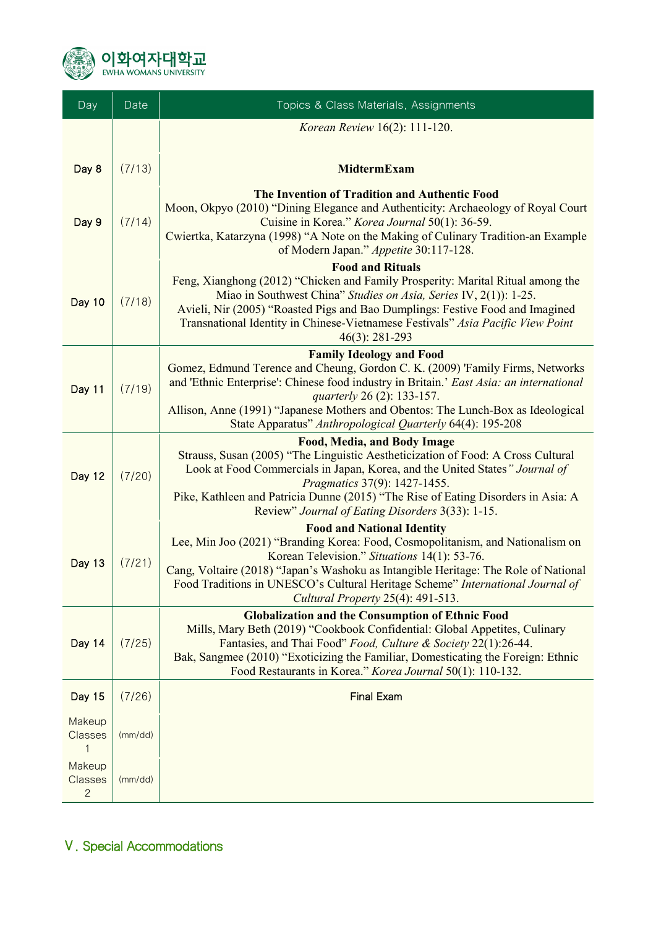

| Day                               | Date    | Topics & Class Materials, Assignments                                                                                                                                                                                                                                                                                                                                   |  |  |
|-----------------------------------|---------|-------------------------------------------------------------------------------------------------------------------------------------------------------------------------------------------------------------------------------------------------------------------------------------------------------------------------------------------------------------------------|--|--|
|                                   |         | Korean Review 16(2): 111-120.                                                                                                                                                                                                                                                                                                                                           |  |  |
|                                   |         |                                                                                                                                                                                                                                                                                                                                                                         |  |  |
| Day 8                             | (7/13)  | <b>MidtermExam</b>                                                                                                                                                                                                                                                                                                                                                      |  |  |
| Day 9                             | (7/14)  | The Invention of Tradition and Authentic Food<br>Moon, Okpyo (2010) "Dining Elegance and Authenticity: Archaeology of Royal Court<br>Cuisine in Korea." Korea Journal 50(1): 36-59.<br>Cwiertka, Katarzyna (1998) "A Note on the Making of Culinary Tradition-an Example<br>of Modern Japan." Appetite 30:117-128.                                                      |  |  |
| Day 10                            | (7/18)  | <b>Food and Rituals</b><br>Feng, Xianghong (2012) "Chicken and Family Prosperity: Marital Ritual among the<br>Miao in Southwest China" Studies on Asia, Series IV, 2(1)): 1-25.<br>Avieli, Nir (2005) "Roasted Pigs and Bao Dumplings: Festive Food and Imagined<br>Transnational Identity in Chinese-Vietnamese Festivals" Asia Pacific View Point<br>$46(3): 281-293$ |  |  |
|                                   |         | <b>Family Ideology and Food</b>                                                                                                                                                                                                                                                                                                                                         |  |  |
| Day 11                            | (7/19)  | Gomez, Edmund Terence and Cheung, Gordon C. K. (2009) 'Family Firms, Networks<br>and 'Ethnic Enterprise': Chinese food industry in Britain.' East Asia: an international<br>quarterly 26 (2): 133-157.<br>Allison, Anne (1991) "Japanese Mothers and Obentos: The Lunch-Box as Ideological<br>State Apparatus" Anthropological Quarterly 64(4): 195-208                 |  |  |
|                                   |         | <b>Food, Media, and Body Image</b>                                                                                                                                                                                                                                                                                                                                      |  |  |
| Day 12                            | (7/20)  | Strauss, Susan (2005) "The Linguistic Aestheticization of Food: A Cross Cultural<br>Look at Food Commercials in Japan, Korea, and the United States" Journal of<br><i>Pragmatics</i> 37(9): 1427-1455.<br>Pike, Kathleen and Patricia Dunne (2015) "The Rise of Eating Disorders in Asia: A<br>Review" Journal of Eating Disorders 3(33): 1-15.                         |  |  |
|                                   |         | <b>Food and National Identity</b>                                                                                                                                                                                                                                                                                                                                       |  |  |
| Day 13                            | (7/21)  | Lee, Min Joo (2021) "Branding Korea: Food, Cosmopolitanism, and Nationalism on<br>Korean Television." Situations 14(1): 53-76.<br>Cang, Voltaire (2018) "Japan's Washoku as Intangible Heritage: The Role of National<br>Food Traditions in UNESCO's Cultural Heritage Scheme" International Journal of<br>Cultural Property 25(4): 491-513.                            |  |  |
|                                   |         | <b>Globalization and the Consumption of Ethnic Food</b>                                                                                                                                                                                                                                                                                                                 |  |  |
| Day 14                            | (7/25)  | Mills, Mary Beth (2019) "Cookbook Confidential: Global Appetites, Culinary<br>Fantasies, and Thai Food" Food, Culture & Society 22(1):26-44.<br>Bak, Sangmee (2010) "Exoticizing the Familiar, Domesticating the Foreign: Ethnic<br>Food Restaurants in Korea." Korea Journal 50(1): 110-132.                                                                           |  |  |
| Day 15                            | (7/26)  | <b>Final Exam</b>                                                                                                                                                                                                                                                                                                                                                       |  |  |
| Makeup<br>Classes<br>1            | (mm/dd) |                                                                                                                                                                                                                                                                                                                                                                         |  |  |
| Makeup<br>Classes<br>$\mathbf{2}$ | (mm/dd) |                                                                                                                                                                                                                                                                                                                                                                         |  |  |

## Ⅴ. Special Accommodations